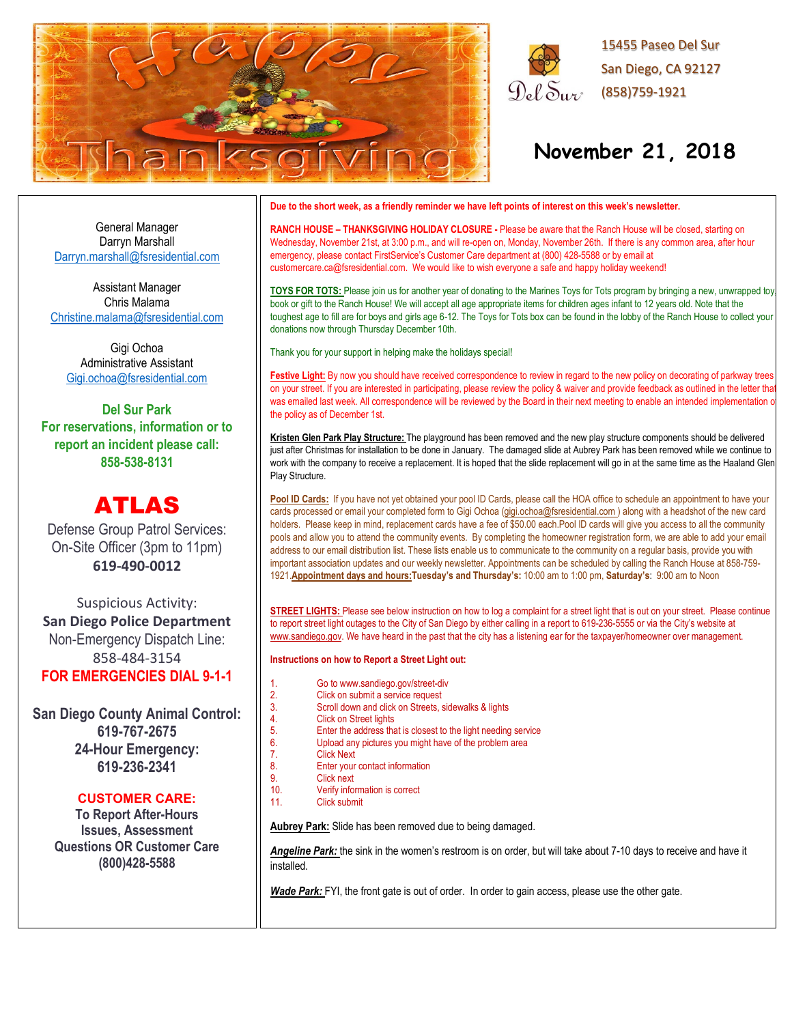



# **November 21, 2018**

General Manager Darryn Marshall [Darryn.marshall@fsresidential.com](mailto:Darryn.marshall@fsresidential.com)

Assistant Manager Chris Malama [Christine.malama@fsresidential.com](mailto:Christine.malama@fsresidential.com)

Gigi Ochoa Administrative Assistant [Gigi.ochoa@fsresidential.com](mailto:Gigi.ochoa@fsresidential.com)

**Del Sur Park For reservations, information or to report an incident please call: 858-538-8131**

# ATLAS

Defense Group Patrol Services: On-Site Officer (3pm to 11pm) **619-490-0012**

Suspicious Activity: **San Diego Police Department** Non-Emergency Dispatch Line: 858-484-3154 **FOR EMERGENCIES DIAL 9-1-1**

**San Diego County Animal Control: 619-767-2675 24-Hour Emergency: 619-236-2341**

### **CUSTOMER CARE:**

**To Report After-Hours Issues, Assessment Questions OR Customer Care (800)428-5588**

#### **Due to the short week, as a friendly reminder we have left points of interest on this week's newsletter.**

**RANCH HOUSE – THANKSGIVING HOLIDAY CLOSURE -** Please be aware that the Ranch House will be closed, starting on Wednesday, November 21st, at 3:00 p.m., and will re-open on, Monday, November 26th. If there is any common area, after hour emergency, please contact FirstService's Customer Care department at (800) 428-5588 or by email at customercare.ca@fsresidential.com. We would like to wish everyone a safe and happy holiday weekend!

**TOYS FOR TOTS:** Please join us for another year of donating to the Marines Toys for Tots program by bringing a new, unwrapped toy, book or gift to the Ranch House! We will accept all age appropriate items for children ages infant to 12 years old. Note that the toughest age to fill are for boys and girls age 6-12. The Toys for Tots box can be found in the lobby of the Ranch House to collect your donations now through Thursday December 10th.

Thank you for your support in helping make the holidays special!

Festive Light: By now you should have received correspondence to review in regard to the new policy on decorating of parkway trees on your street. If you are interested in participating, please review the policy & waiver and provide feedback as outlined in the letter that was emailed last week. All correspondence will be reviewed by the Board in their next meeting to enable an intended implementation o the policy as of December 1st.

**Kristen Glen Park Play Structure:** The playground has been removed and the new play structure components should be delivered just after Christmas for installation to be done in January. The damaged slide at Aubrey Park has been removed while we continue to work with the company to receive a replacement. It is hoped that the slide replacement will go in at the same time as the Haaland Glen Play Structure.

Pool ID Cards: If you have not yet obtained your pool ID Cards, please call the HOA office to schedule an appointment to have your cards processed or email your completed form to Gigi Ochoa [\(gigi.ochoa@fsresidential.com](mailto:gigi.ochoa@fsresidential.com)) along with a headshot of the new card holders. Please keep in mind, replacement cards have a fee of \$50.00 each.Pool ID cards will give you access to all the community pools and allow you to attend the community events. By completing the homeowner registration form, we are able to add your email address to our email distribution list. These lists enable us to communicate to the community on a regular basis, provide you with important association updates and our weekly newsletter. Appointments can be scheduled by calling the Ranch House at 858-759- 1921.**Appointment days and hours:Tuesday's and Thursday's:** 10:00 am to 1:00 pm, **Saturday's**: 9:00 am to Noon

**STREET LIGHTS:** Please see below instruction on how to log a complaint for a street light that is out on your street. Please continue to report street light outages to the City of San Diego by either calling in a report to 619-236-5555 or via the City's website at [www.sandiego.gov.](http://www.sandiego.gov/) We have heard in the past that the city has a listening ear for the taxpayer/homeowner over management.

#### **Instructions on how to Report a Street Light out:**

- 
- 1. Go to www.sandiego.gov/street-div<br>2. Click on submit a service request
- 2. Click on submit a service request<br>3. Scroll down and click on Streets. 3. Scroll down and click on Streets, sidewalks & lights
- 4. Click on Street lights<br>5. Enter the address that
- 5. Enter the address that is closest to the light needing service<br>6. Upload any pictures you might have of the problem area
- 6. Upload any pictures you might have of the problem area
- 7. Click Next<br>8. Enter vour
- 8. Enter your contact information<br>9. Click next
- 9. Click next<br>10 Verify infor Verify information is correct
- 11 Click submit

**Aubrey Park:** Slide has been removed due to being damaged.

*Angeline Park:* the sink in the women's restroom is on order, but will take about 7-10 days to receive and have it installed.

Wade Park: FYI, the front gate is out of order. In order to gain access, please use the other gate.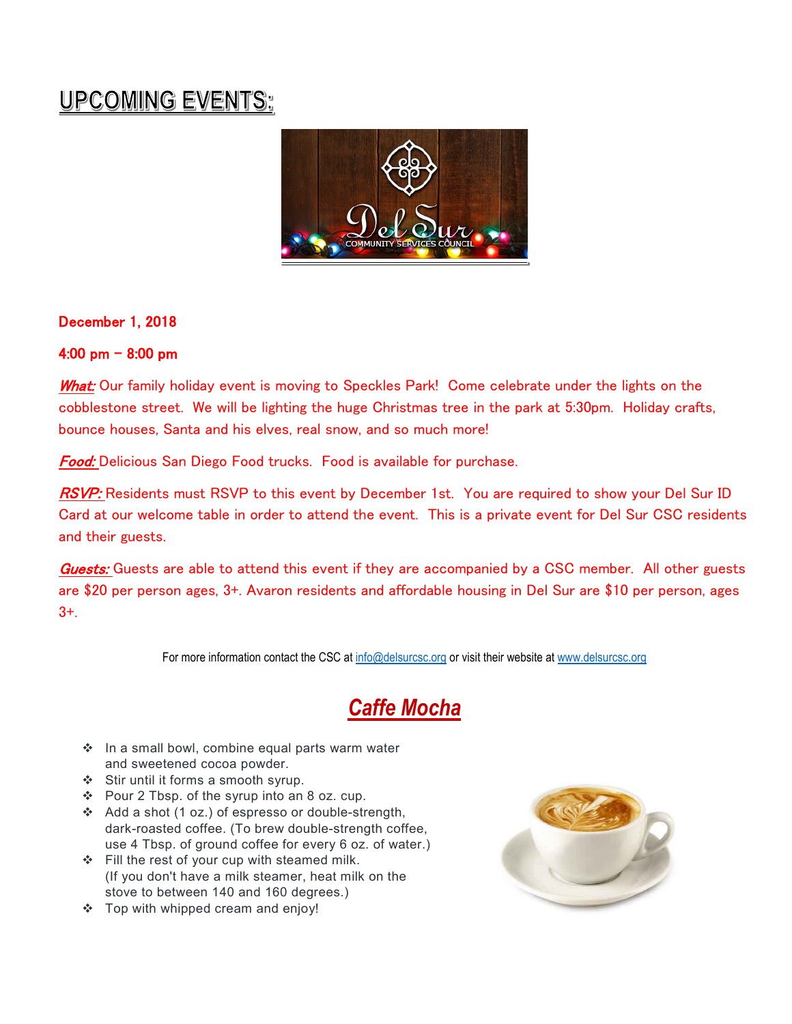# UPCOMING EVENTS:



# December 1, 2018

## 4:00 pm  $-$  8:00 pm

What: Our family holiday event is moving to Speckles Park! Come celebrate under the lights on the cobblestone street. We will be lighting the huge Christmas tree in the park at 5:30pm. Holiday crafts, bounce houses, Santa and his elves, real snow, and so much more!

Food: Delicious San Diego Food trucks. Food is available for purchase.

RSVP: Residents must RSVP to this event by December 1st. You are required to show your Del Sur ID Card at our welcome table in order to attend the event. This is a private event for Del Sur CSC residents and their guests.

Guests: Guests are able to attend this event if they are accompanied by a CSC member. All other guests are \$20 per person ages, 3+. Avaron residents and affordable housing in Del Sur are \$10 per person, ages 3+.

For more information contact the CSC at [info@delsurcsc.org](mailto:info@delsurcsc.org) or visit their website at [www.delsurcsc.org](http://www.delsurcsc.org/)

# *Caffe Mocha*

- $\cdot$  In a small bowl, combine equal parts warm water and sweetened cocoa powder.
- Stir until it forms a smooth syrup.
- Pour 2 Tbsp. of the syrup into an 8 oz. cup.
- Add a shot (1 oz.) of espresso or double-strength, dark-roasted coffee. (To brew double-strength coffee, use 4 Tbsp. of ground coffee for every 6 oz. of water.)
- Fill the rest of your cup with steamed milk. (If you don't have a milk steamer, heat milk on the stove to between 140 and 160 degrees.)
- ❖ Top with whipped cream and enjoy!

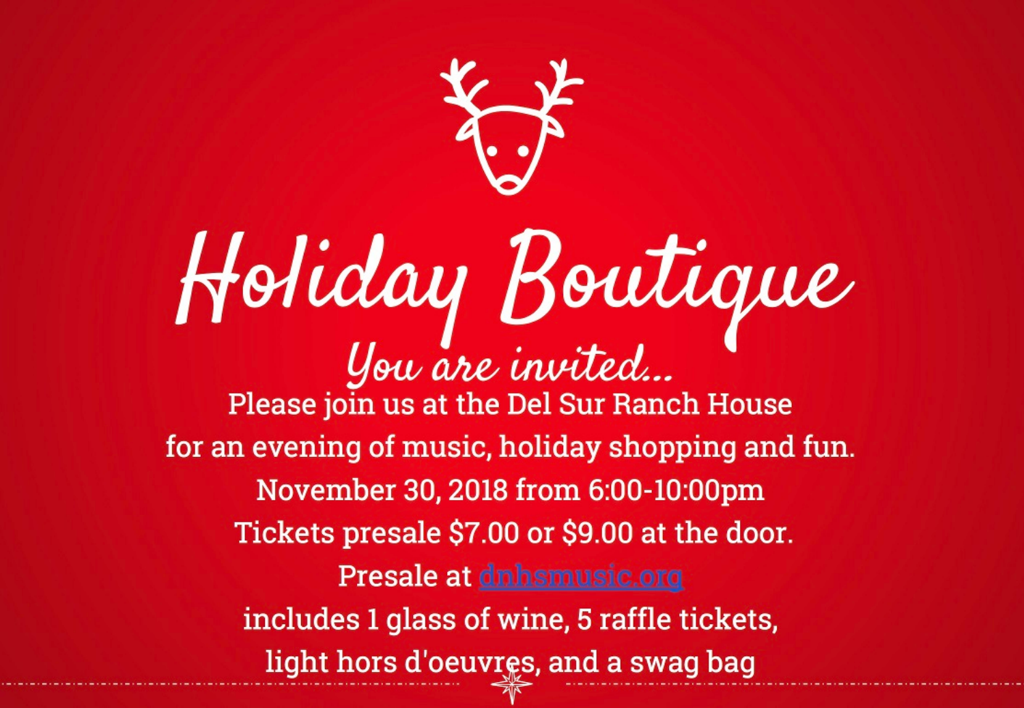

# Holiday Boutique Please join us at the Del Sur Ranch House for an evening of music, holiday shopping and fun. November 30, 2018 from 6:00-10:00pm Tickets presale \$7.00 or \$9.00 at the door. Presale at dnhsmusic.org includes 1 glass of wine, 5 raffle tickets, light hors d'oeuvres, and a swag bag